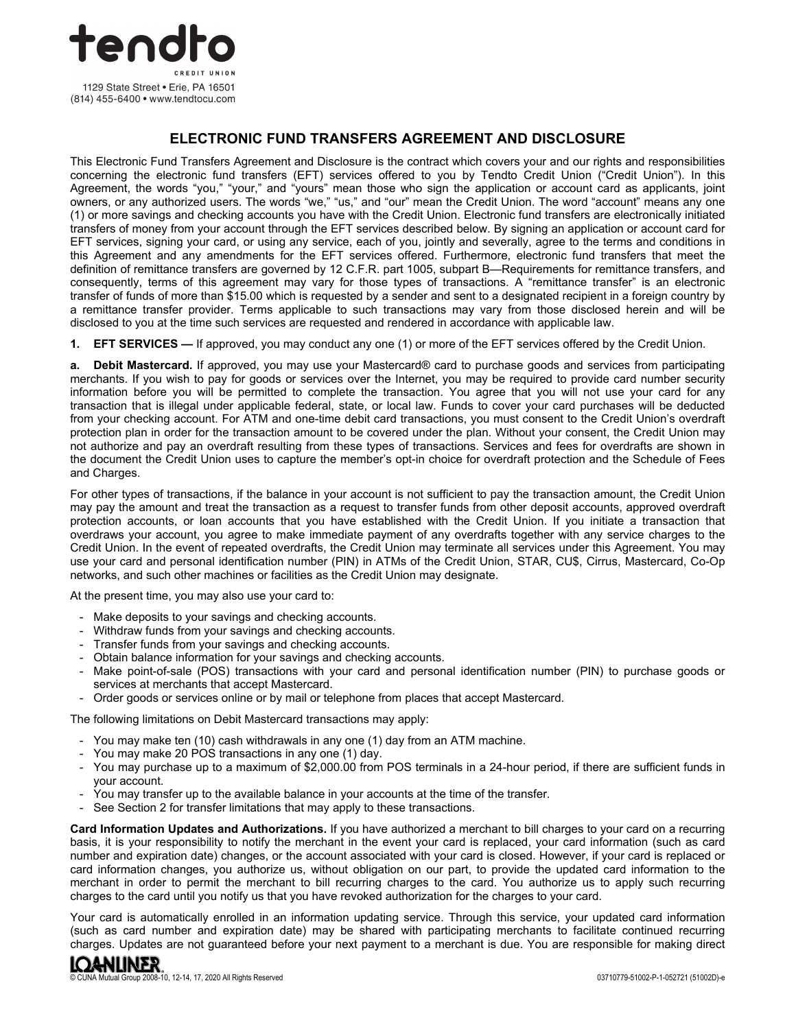

# **ELECTRONIC FUND TRANSFERS AGREEMENT AND DISCLOSURE**

This Electronic Fund Transfers Agreement and Disclosure is the contract which covers your and our rights and responsibilities concerning the electronic fund transfers (EFT) services offered to you by Tendto Credit Union ("Credit Union"). In this Agreement, the words "you," "your," and "yours" mean those who sign the application or account card as applicants, joint owners, or any authorized users. The words "we," "us," and "our" mean the Credit Union. The word "account" means any one (1) or more savings and checking accounts you have with the Credit Union. Electronic fund transfers are electronically initiated transfers of money from your account through the EFT services described below. By signing an application or account card for EFT services, signing your card, or using any service, each of you, jointly and severally, agree to the terms and conditions in this Agreement and any amendments for the EFT services offered. Furthermore, electronic fund transfers that meet the definition of remittance transfers are governed by 12 C.F.R. part 1005, subpart B—Requirements for remittance transfers, and consequently, terms of this agreement may vary for those types of transactions. A "remittance transfer" is an electronic transfer of funds of more than \$15.00 which is requested by a sender and sent to a designated recipient in a foreign country by a remittance transfer provider. Terms applicable to such transactions may vary from those disclosed herein and will be disclosed to you at the time such services are requested and rendered in accordance with applicable law.

**1. EFT SERVICES —** If approved, you may conduct any one (1) or more of the EFT services offered by the Credit Union.

**a. Debit Mastercard.** If approved, you may use your Mastercard® card to purchase goods and services from participating merchants. If you wish to pay for goods or services over the Internet, you may be required to provide card number security information before you will be permitted to complete the transaction. You agree that you will not use your card for any transaction that is illegal under applicable federal, state, or local law. Funds to cover your card purchases will be deducted from your checking account. For ATM and one-time debit card transactions, you must consent to the Credit Union's overdraft protection plan in order for the transaction amount to be covered under the plan. Without your consent, the Credit Union may not authorize and pay an overdraft resulting from these types of transactions. Services and fees for overdrafts are shown in the document the Credit Union uses to capture the member's opt-in choice for overdraft protection and the Schedule of Fees and Charges.

For other types of transactions, if the balance in your account is not sufficient to pay the transaction amount, the Credit Union may pay the amount and treat the transaction as a request to transfer funds from other deposit accounts, approved overdraft protection accounts, or loan accounts that you have established with the Credit Union. If you initiate a transaction that overdraws your account, you agree to make immediate payment of any overdrafts together with any service charges to the Credit Union. In the event of repeated overdrafts, the Credit Union may terminate all services under this Agreement. You may use your card and personal identification number (PIN) in ATMs of the Credit Union, STAR, CU\$, Cirrus, Mastercard, Co-Op networks, and such other machines or facilities as the Credit Union may designate.

At the present time, you may also use your card to:

- Make deposits to your savings and checking accounts.
- Withdraw funds from your savings and checking accounts.
- Transfer funds from your savings and checking accounts.
- Obtain balance information for your savings and checking accounts.
- Make point-of-sale (POS) transactions with your card and personal identification number (PIN) to purchase goods or services at merchants that accept Mastercard.
- Order goods or services online or by mail or telephone from places that accept Mastercard.

The following limitations on Debit Mastercard transactions may apply:

- You may make ten (10) cash withdrawals in any one (1) day from an ATM machine.
- You may make 20 POS transactions in any one (1) day.
- You may purchase up to a maximum of \$2,000.00 from POS terminals in a 24-hour period, if there are sufficient funds in your account.
- You may transfer up to the available balance in your accounts at the time of the transfer.
- See Section 2 for transfer limitations that may apply to these transactions.

**Card Information Updates and Authorizations.** If you have authorized a merchant to bill charges to your card on a recurring basis, it is your responsibility to notify the merchant in the event your card is replaced, your card information (such as card number and expiration date) changes, or the account associated with your card is closed. However, if your card is replaced or card information changes, you authorize us, without obligation on our part, to provide the updated card information to the merchant in order to permit the merchant to bill recurring charges to the card. You authorize us to apply such recurring charges to the card until you notify us that you have revoked authorization for the charges to your card.

Your card is automatically enrolled in an information updating service. Through this service, your updated card information (such as card number and expiration date) may be shared with participating merchants to facilitate continued recurring charges. Updates are not guaranteed before your next payment to a merchant is due. You are responsible for making direct

# IQ<del>a</del>nliner

© CUNA Mutual Group 2008-10, 12-14, 17, 2020 All Rights Reserved 03710779-51002-P-1-052721 (51002D)-e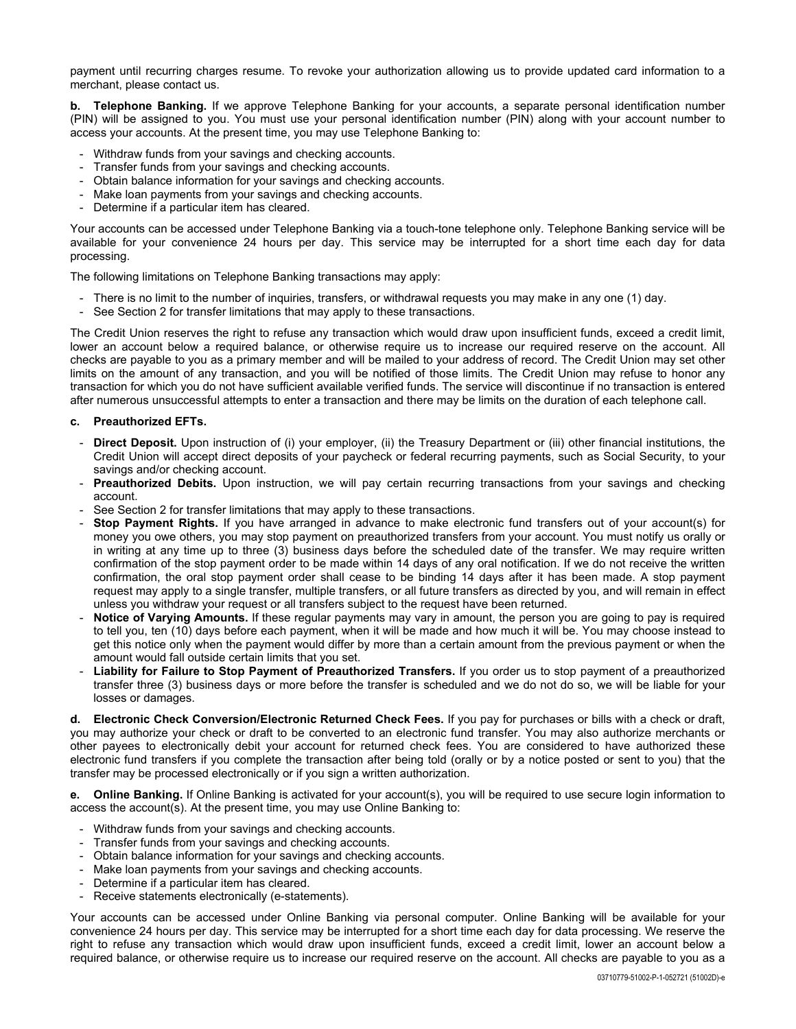payment until recurring charges resume. To revoke your authorization allowing us to provide updated card information to a merchant, please contact us.

**b. Telephone Banking.** If we approve Telephone Banking for your accounts, a separate personal identification number (PIN) will be assigned to you. You must use your personal identification number (PIN) along with your account number to access your accounts. At the present time, you may use Telephone Banking to:

- Withdraw funds from your savings and checking accounts.
- Transfer funds from your savings and checking accounts.
- Obtain balance information for your savings and checking accounts.
- Make loan payments from your savings and checking accounts.
- Determine if a particular item has cleared.

Your accounts can be accessed under Telephone Banking via a touch-tone telephone only. Telephone Banking service will be available for your convenience 24 hours per day. This service may be interrupted for a short time each day for data processing.

The following limitations on Telephone Banking transactions may apply:

- There is no limit to the number of inquiries, transfers, or withdrawal requests you may make in any one (1) day.
- See Section 2 for transfer limitations that may apply to these transactions.

The Credit Union reserves the right to refuse any transaction which would draw upon insufficient funds, exceed a credit limit, lower an account below a required balance, or otherwise require us to increase our required reserve on the account. All checks are payable to you as a primary member and will be mailed to your address of record. The Credit Union may set other limits on the amount of any transaction, and you will be notified of those limits. The Credit Union may refuse to honor any transaction for which you do not have sufficient available verified funds. The service will discontinue if no transaction is entered after numerous unsuccessful attempts to enter a transaction and there may be limits on the duration of each telephone call.

#### **c. Preauthorized EFTs.**

- **Direct Deposit.** Upon instruction of (i) your employer, (ii) the Treasury Department or (iii) other financial institutions, the Credit Union will accept direct deposits of your paycheck or federal recurring payments, such as Social Security, to your savings and/or checking account.
- **Preauthorized Debits.** Upon instruction, we will pay certain recurring transactions from your savings and checking account.
- See Section 2 for transfer limitations that may apply to these transactions.
- **Stop Payment Rights.** If you have arranged in advance to make electronic fund transfers out of your account(s) for money you owe others, you may stop payment on preauthorized transfers from your account. You must notify us orally or in writing at any time up to three (3) business days before the scheduled date of the transfer. We may require written confirmation of the stop payment order to be made within 14 days of any oral notification. If we do not receive the written confirmation, the oral stop payment order shall cease to be binding 14 days after it has been made. A stop payment request may apply to a single transfer, multiple transfers, or all future transfers as directed by you, and will remain in effect unless you withdraw your request or all transfers subject to the request have been returned.
- **Notice of Varying Amounts.** If these regular payments may vary in amount, the person you are going to pay is required to tell you, ten (10) days before each payment, when it will be made and how much it will be. You may choose instead to get this notice only when the payment would differ by more than a certain amount from the previous payment or when the amount would fall outside certain limits that you set.
- Liability for Failure to Stop Payment of Preauthorized Transfers. If you order us to stop payment of a preauthorized transfer three (3) business days or more before the transfer is scheduled and we do not do so, we will be liable for your losses or damages.

**d. Electronic Check Conversion/Electronic Returned Check Fees.** If you pay for purchases or bills with a check or draft, you may authorize your check or draft to be converted to an electronic fund transfer. You may also authorize merchants or other payees to electronically debit your account for returned check fees. You are considered to have authorized these electronic fund transfers if you complete the transaction after being told (orally or by a notice posted or sent to you) that the transfer may be processed electronically or if you sign a written authorization.

**e. Online Banking.** If Online Banking is activated for your account(s), you will be required to use secure login information to access the account(s). At the present time, you may use Online Banking to:

- Withdraw funds from your savings and checking accounts.
- Transfer funds from your savings and checking accounts.
- Obtain balance information for your savings and checking accounts.
- Make loan payments from your savings and checking accounts.
- Determine if a particular item has cleared.
- Receive statements electronically (e-statements).

Your accounts can be accessed under Online Banking via personal computer. Online Banking will be available for your convenience 24 hours per day. This service may be interrupted for a short time each day for data processing. We reserve the right to refuse any transaction which would draw upon insufficient funds, exceed a credit limit, lower an account below a required balance, or otherwise require us to increase our required reserve on the account. All checks are payable to you as a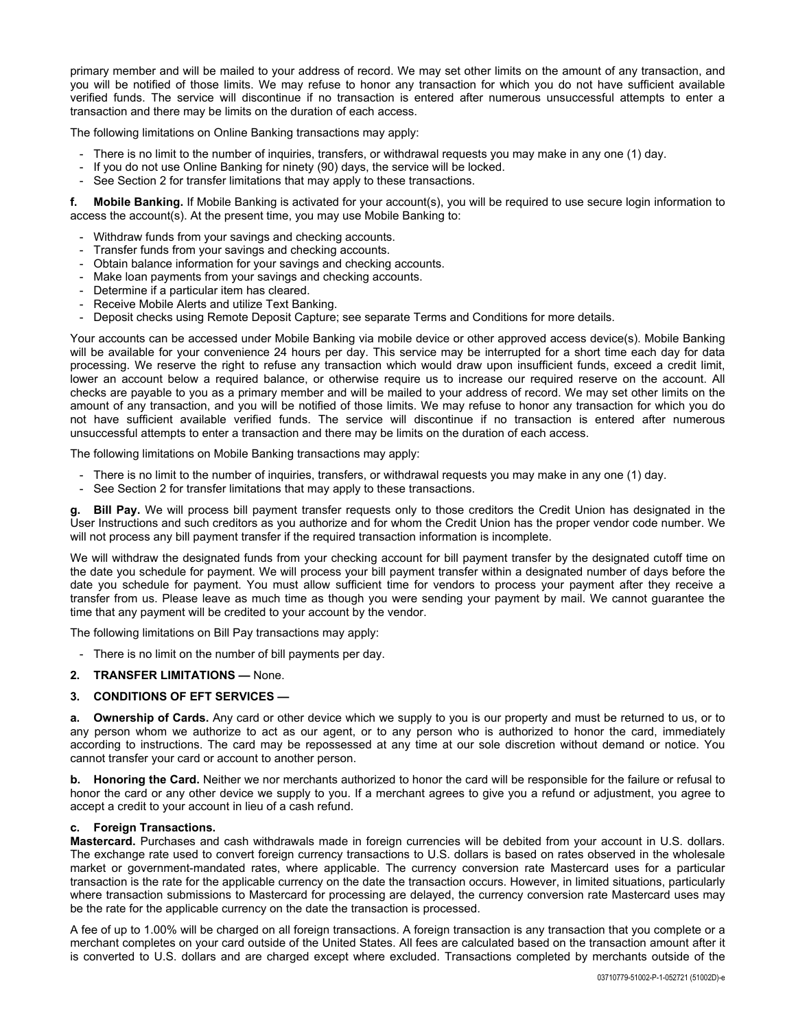primary member and will be mailed to your address of record. We may set other limits on the amount of any transaction, and you will be notified of those limits. We may refuse to honor any transaction for which you do not have sufficient available verified funds. The service will discontinue if no transaction is entered after numerous unsuccessful attempts to enter a transaction and there may be limits on the duration of each access.

The following limitations on Online Banking transactions may apply:

- There is no limit to the number of inquiries, transfers, or withdrawal requests you may make in any one (1) day.
- If you do not use Online Banking for ninety (90) days, the service will be locked.
- See Section 2 for transfer limitations that may apply to these transactions.

**f. Mobile Banking.** If Mobile Banking is activated for your account(s), you will be required to use secure login information to access the account(s). At the present time, you may use Mobile Banking to:

- Withdraw funds from your savings and checking accounts.
- Transfer funds from your savings and checking accounts.
- Obtain balance information for your savings and checking accounts.
- Make loan payments from your savings and checking accounts.
- Determine if a particular item has cleared.
- Receive Mobile Alerts and utilize Text Banking.
- Deposit checks using Remote Deposit Capture; see separate Terms and Conditions for more details.

Your accounts can be accessed under Mobile Banking via mobile device or other approved access device(s). Mobile Banking will be available for your convenience 24 hours per day. This service may be interrupted for a short time each day for data processing. We reserve the right to refuse any transaction which would draw upon insufficient funds, exceed a credit limit, lower an account below a required balance, or otherwise require us to increase our required reserve on the account. All checks are payable to you as a primary member and will be mailed to your address of record. We may set other limits on the amount of any transaction, and you will be notified of those limits. We may refuse to honor any transaction for which you do not have sufficient available verified funds. The service will discontinue if no transaction is entered after numerous unsuccessful attempts to enter a transaction and there may be limits on the duration of each access.

The following limitations on Mobile Banking transactions may apply:

- There is no limit to the number of inquiries, transfers, or withdrawal requests you may make in any one (1) day.
- See Section 2 for transfer limitations that may apply to these transactions.

**g. Bill Pay.** We will process bill payment transfer requests only to those creditors the Credit Union has designated in the User Instructions and such creditors as you authorize and for whom the Credit Union has the proper vendor code number. We will not process any bill payment transfer if the required transaction information is incomplete.

We will withdraw the designated funds from your checking account for bill payment transfer by the designated cutoff time on the date you schedule for payment. We will process your bill payment transfer within a designated number of days before the date you schedule for payment. You must allow sufficient time for vendors to process your payment after they receive a transfer from us. Please leave as much time as though you were sending your payment by mail. We cannot guarantee the time that any payment will be credited to your account by the vendor.

The following limitations on Bill Pay transactions may apply:

- There is no limit on the number of bill payments per day.

### **2. TRANSFER LIMITATIONS —** None.

### **3. CONDITIONS OF EFT SERVICES —**

**a. Ownership of Cards.** Any card or other device which we supply to you is our property and must be returned to us, or to any person whom we authorize to act as our agent, or to any person who is authorized to honor the card, immediately according to instructions. The card may be repossessed at any time at our sole discretion without demand or notice. You cannot transfer your card or account to another person.

**b. Honoring the Card.** Neither we nor merchants authorized to honor the card will be responsible for the failure or refusal to honor the card or any other device we supply to you. If a merchant agrees to give you a refund or adjustment, you agree to accept a credit to your account in lieu of a cash refund.

#### **c. Foreign Transactions.**

**Mastercard.** Purchases and cash withdrawals made in foreign currencies will be debited from your account in U.S. dollars. The exchange rate used to convert foreign currency transactions to U.S. dollars is based on rates observed in the wholesale market or government-mandated rates, where applicable. The currency conversion rate Mastercard uses for a particular transaction is the rate for the applicable currency on the date the transaction occurs. However, in limited situations, particularly where transaction submissions to Mastercard for processing are delayed, the currency conversion rate Mastercard uses may be the rate for the applicable currency on the date the transaction is processed.

A fee of up to 1.00% will be charged on all foreign transactions. A foreign transaction is any transaction that you complete or a merchant completes on your card outside of the United States. All fees are calculated based on the transaction amount after it is converted to U.S. dollars and are charged except where excluded. Transactions completed by merchants outside of the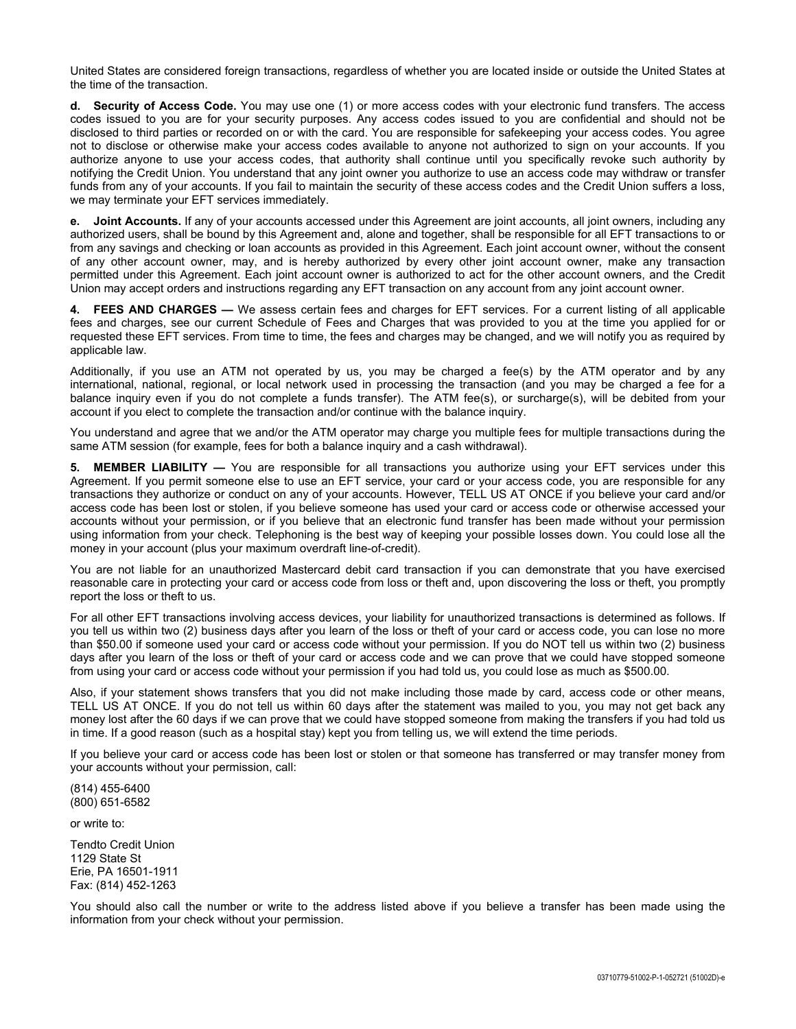United States are considered foreign transactions, regardless of whether you are located inside or outside the United States at the time of the transaction.

**d. Security of Access Code.** You may use one (1) or more access codes with your electronic fund transfers. The access codes issued to you are for your security purposes. Any access codes issued to you are confidential and should not be disclosed to third parties or recorded on or with the card. You are responsible for safekeeping your access codes. You agree not to disclose or otherwise make your access codes available to anyone not authorized to sign on your accounts. If you authorize anyone to use your access codes, that authority shall continue until you specifically revoke such authority by notifying the Credit Union. You understand that any joint owner you authorize to use an access code may withdraw or transfer funds from any of your accounts. If you fail to maintain the security of these access codes and the Credit Union suffers a loss, we may terminate your EFT services immediately.

**e. Joint Accounts.** If any of your accounts accessed under this Agreement are joint accounts, all joint owners, including any authorized users, shall be bound by this Agreement and, alone and together, shall be responsible for all EFT transactions to or from any savings and checking or loan accounts as provided in this Agreement. Each joint account owner, without the consent of any other account owner, may, and is hereby authorized by every other joint account owner, make any transaction permitted under this Agreement. Each joint account owner is authorized to act for the other account owners, and the Credit Union may accept orders and instructions regarding any EFT transaction on any account from any joint account owner.

**4. FEES AND CHARGES —** We assess certain fees and charges for EFT services. For a current listing of all applicable fees and charges, see our current Schedule of Fees and Charges that was provided to you at the time you applied for or requested these EFT services. From time to time, the fees and charges may be changed, and we will notify you as required by applicable law.

Additionally, if you use an ATM not operated by us, you may be charged a fee(s) by the ATM operator and by any international, national, regional, or local network used in processing the transaction (and you may be charged a fee for a balance inquiry even if you do not complete a funds transfer). The ATM fee(s), or surcharge(s), will be debited from your account if you elect to complete the transaction and/or continue with the balance inquiry.

You understand and agree that we and/or the ATM operator may charge you multiple fees for multiple transactions during the same ATM session (for example, fees for both a balance inquiry and a cash withdrawal).

**5. MEMBER LIABILITY —** You are responsible for all transactions you authorize using your EFT services under this Agreement. If you permit someone else to use an EFT service, your card or your access code, you are responsible for any transactions they authorize or conduct on any of your accounts. However, TELL US AT ONCE if you believe your card and/or access code has been lost or stolen, if you believe someone has used your card or access code or otherwise accessed your accounts without your permission, or if you believe that an electronic fund transfer has been made without your permission using information from your check. Telephoning is the best way of keeping your possible losses down. You could lose all the money in your account (plus your maximum overdraft line-of-credit).

You are not liable for an unauthorized Mastercard debit card transaction if you can demonstrate that you have exercised reasonable care in protecting your card or access code from loss or theft and, upon discovering the loss or theft, you promptly report the loss or theft to us.

For all other EFT transactions involving access devices, your liability for unauthorized transactions is determined as follows. If you tell us within two (2) business days after you learn of the loss or theft of your card or access code, you can lose no more than \$50.00 if someone used your card or access code without your permission. If you do NOT tell us within two (2) business days after you learn of the loss or theft of your card or access code and we can prove that we could have stopped someone from using your card or access code without your permission if you had told us, you could lose as much as \$500.00.

Also, if your statement shows transfers that you did not make including those made by card, access code or other means, TELL US AT ONCE. If you do not tell us within 60 days after the statement was mailed to you, you may not get back any money lost after the 60 days if we can prove that we could have stopped someone from making the transfers if you had told us in time. If a good reason (such as a hospital stay) kept you from telling us, we will extend the time periods.

If you believe your card or access code has been lost or stolen or that someone has transferred or may transfer money from your accounts without your permission, call:

(814) 455-6400 (800) 651-6582

or write to:

Tendto Credit Union 1129 State St Erie, PA 16501-1911 Fax: (814) 452-1263

You should also call the number or write to the address listed above if you believe a transfer has been made using the information from your check without your permission.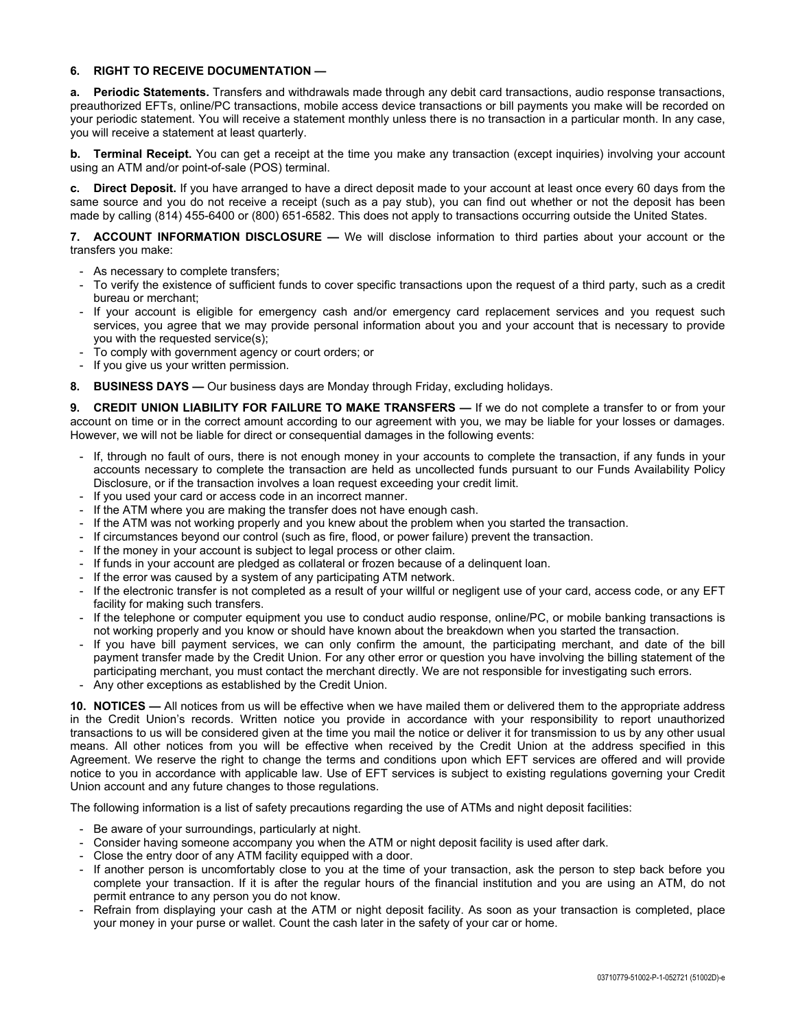## **6. RIGHT TO RECEIVE DOCUMENTATION —**

**a. Periodic Statements.** Transfers and withdrawals made through any debit card transactions, audio response transactions, preauthorized EFTs, online/PC transactions, mobile access device transactions or bill payments you make will be recorded on your periodic statement. You will receive a statement monthly unless there is no transaction in a particular month. In any case, you will receive a statement at least quarterly.

**b.** Terminal Receipt. You can get a receipt at the time you make any transaction (except inquiries) involving your account using an ATM and/or point-of-sale (POS) terminal.

**c. Direct Deposit.** If you have arranged to have a direct deposit made to your account at least once every 60 days from the same source and you do not receive a receipt (such as a pay stub), you can find out whether or not the deposit has been made by calling (814) 455-6400 or (800) 651-6582. This does not apply to transactions occurring outside the United States.

**7. ACCOUNT INFORMATION DISCLOSURE —** We will disclose information to third parties about your account or the transfers you make:

- As necessary to complete transfers;
- To verify the existence of sufficient funds to cover specific transactions upon the request of a third party, such as a credit bureau or merchant;
- If your account is eligible for emergency cash and/or emergency card replacement services and you request such services, you agree that we may provide personal information about you and your account that is necessary to provide you with the requested service(s);
- To comply with government agency or court orders; or
- If you give us your written permission.
- **8. BUSINESS DAYS —** Our business days are Monday through Friday, excluding holidays.

**9. CREDIT UNION LIABILITY FOR FAILURE TO MAKE TRANSFERS —** If we do not complete a transfer to or from your account on time or in the correct amount according to our agreement with you, we may be liable for your losses or damages. However, we will not be liable for direct or consequential damages in the following events:

- If, through no fault of ours, there is not enough money in your accounts to complete the transaction, if any funds in your accounts necessary to complete the transaction are held as uncollected funds pursuant to our Funds Availability Policy Disclosure, or if the transaction involves a loan request exceeding your credit limit.
- If you used your card or access code in an incorrect manner.
- If the ATM where you are making the transfer does not have enough cash.
- If the ATM was not working properly and you knew about the problem when you started the transaction.
- If circumstances beyond our control (such as fire, flood, or power failure) prevent the transaction.
- If the money in your account is subject to legal process or other claim.
- If funds in your account are pledged as collateral or frozen because of a delinquent loan.
- If the error was caused by a system of any participating ATM network.
- If the electronic transfer is not completed as a result of your willful or negligent use of your card, access code, or any EFT facility for making such transfers.
- If the telephone or computer equipment you use to conduct audio response, online/PC, or mobile banking transactions is not working properly and you know or should have known about the breakdown when you started the transaction.
- If you have bill payment services, we can only confirm the amount, the participating merchant, and date of the bill payment transfer made by the Credit Union. For any other error or question you have involving the billing statement of the participating merchant, you must contact the merchant directly. We are not responsible for investigating such errors.
- Any other exceptions as established by the Credit Union.

**10. NOTICES —** All notices from us will be effective when we have mailed them or delivered them to the appropriate address in the Credit Union's records. Written notice you provide in accordance with your responsibility to report unauthorized transactions to us will be considered given at the time you mail the notice or deliver it for transmission to us by any other usual means. All other notices from you will be effective when received by the Credit Union at the address specified in this Agreement. We reserve the right to change the terms and conditions upon which EFT services are offered and will provide notice to you in accordance with applicable law. Use of EFT services is subject to existing regulations governing your Credit Union account and any future changes to those regulations.

The following information is a list of safety precautions regarding the use of ATMs and night deposit facilities:

- Be aware of your surroundings, particularly at night.
- Consider having someone accompany you when the ATM or night deposit facility is used after dark.
- Close the entry door of any ATM facility equipped with a door.
- If another person is uncomfortably close to you at the time of your transaction, ask the person to step back before you complete your transaction. If it is after the regular hours of the financial institution and you are using an ATM, do not permit entrance to any person you do not know.
- Refrain from displaying your cash at the ATM or night deposit facility. As soon as your transaction is completed, place your money in your purse or wallet. Count the cash later in the safety of your car or home.